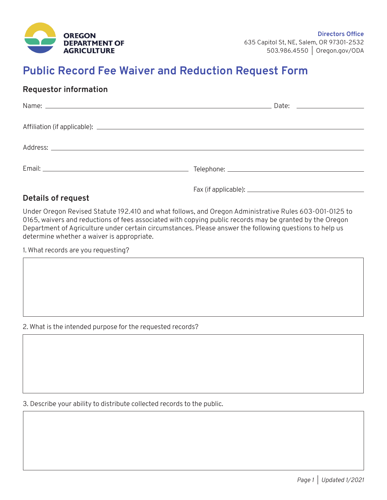

## **Public Record Fee Waiver and Reduction Request Form**

## **Requestor information**

| Name: <u>the contract of the contract of the contract of the contract of the contract of the contract of the contract of the contract of the contract of the contract of the contract of the contract of the contract of the con</u> | Date: _____________________ |
|--------------------------------------------------------------------------------------------------------------------------------------------------------------------------------------------------------------------------------------|-----------------------------|
|                                                                                                                                                                                                                                      |                             |
|                                                                                                                                                                                                                                      |                             |
|                                                                                                                                                                                                                                      |                             |
|                                                                                                                                                                                                                                      |                             |
|                                                                                                                                                                                                                                      |                             |

Fax (if applicable):

## **Details of request**

Under Oregon Revised Statute 192.410 and what follows, and Oregon Administrative Rules 603-001-0125 to 0165, waivers and reductions of fees associated with copying public records may be granted by the Oregon Department of Agriculture under certain circumstances. Please answer the following questions to help us determine whether a waiver is appropriate.

1. What records are you requesting?

2. What is the intended purpose for the requested records?

3. Describe your ability to distribute collected records to the public.